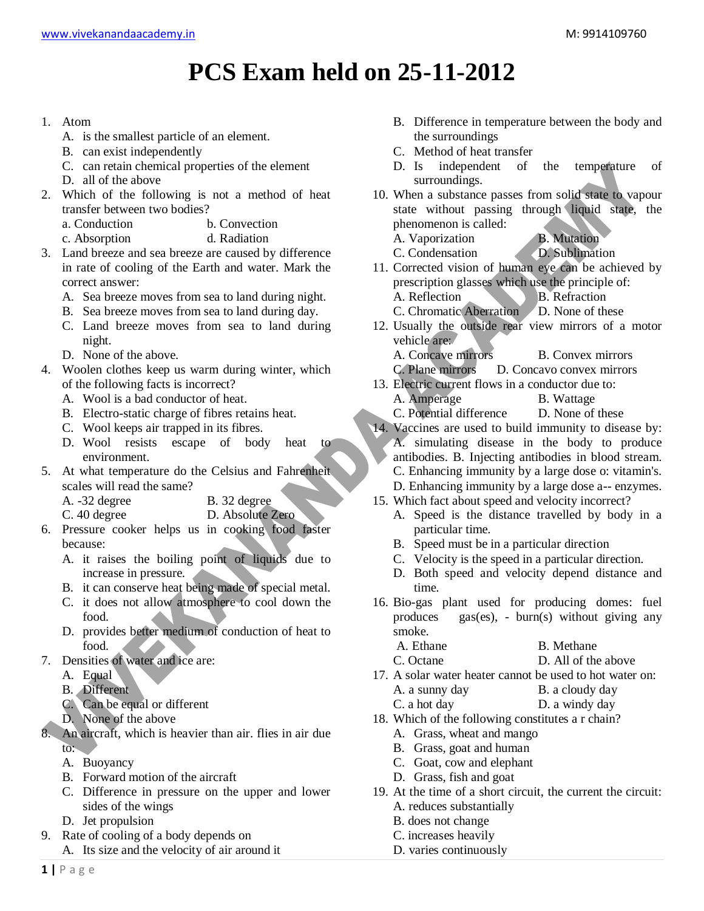## **PCS Exam held on 25-11-2012**

- 1. Atom
	- A. is the smallest particle of an element.
	- B. can exist independently
	- C. can retain chemical properties of the element
	- D. all of the above
- 2. Which of the following is not a method of heat transfer between two bodies?
	- a. Conduction b. Convection
	- c. Absorption d. Radiation
- 3. Land breeze and sea breeze are caused by difference in rate of cooling of the Earth and water. Mark the correct answer:
	- A. Sea breeze moves from sea to land during night.
	- B. Sea breeze moves from sea to land during day.
	- C. Land breeze moves from sea to land during night.
	- D. None of the above.
- 4. Woolen clothes keep us warm during winter, which of the following facts is incorrect?
	- A. Wool is a bad conductor of heat.
	- B. Electro-static charge of fibres retains heat.
	- C. Wool keeps air trapped in its fibres.
	- D. Wool resists escape of body heat to environment.
- 5. At what temperature do the Celsius and Fahrenheit scales will read the same?
	- A. -32 degree B. 32 degree
	- C. 40 degree D. Absolute Zero
- 6. Pressure cooker helps us in cooking food faster because:
	- A. it raises the boiling point of liquids due to increase in pressure.
	- B. it can conserve heat being made of special metal.
	- C. it does not allow atmosphere to cool down the food.
	- D. provides better medium of conduction of heat to food.
- 7. Densities of water and ice are:
	- A. Equal
	- B. Different
	- C. Can be equal or different
	- D. None of the above
- 8. An aircraft, which is heavier than air. flies in air due to:
	- A. Buoyancy
	- B. Forward motion of the aircraft
	- C. Difference in pressure on the upper and lower sides of the wings
	- D. Jet propulsion
- 9. Rate of cooling of a body depends on A. Its size and the velocity of air around it
- B. Difference in temperature between the body and the surroundings
- C. Method of heat transfer
- D. Is independent of the temperature of surroundings.
- 10. When a substance passes from solid state to vapour state without passing through liquid state, the phenomenon is called:
	- A. Vaporization B. Mutation
	- C. Condensation D. Sublimation
- 11. Corrected vision of human eye can be achieved by prescription glasses which use the principle of: A. Reflection B. Refraction
	- C. Chromatic Aberration D. None of these
- 12. Usually the outside rear view mirrors of a motor vehicle are:
	- A. Concave mirrors B. Convex mirrors
- C. Plane mirrors D. Concavo convex mirrors 13. Electric current flows in a conductor due to:
	- A. Amperage B. Wattage
	- C. Potential difference D. None of these
- 14. Vaccines are used to build immunity to disease by: A. simulating disease in the body to produce antibodies. B. Injecting antibodies in blood stream. C. Enhancing immunity by a large dose o: vitamin's. D. Enhancing immunity by a large dose a-- enzymes.
- 15. Which fact about speed and velocity incorrect?
	- A. Speed is the distance travelled by body in a particular time.
	- B. Speed must be in a particular direction
	- C. Velocity is the speed in a particular direction.
	- D. Both speed and velocity depend distance and time.
- 16. Bio-gas plant used for producing domes: fuel produces gas(es), - burn(s) without giving any smoke.
	- A. Ethane B. Methane
	- C. Octane D. All of the above
- 17. A solar water heater cannot be used to hot water on:
	- A. a sunny day B. a cloudy day
	- C. a hot day D. a windy day
- 18. Which of the following constitutes a r chain?
	- A. Grass, wheat and mango
	- B. Grass, goat and human
	- C. Goat, cow and elephant
	- D. Grass, fish and goat
- 19. At the time of a short circuit, the current the circuit: A. reduces substantially
	- B. does not change
	- C. increases heavily
	- D. varies continuously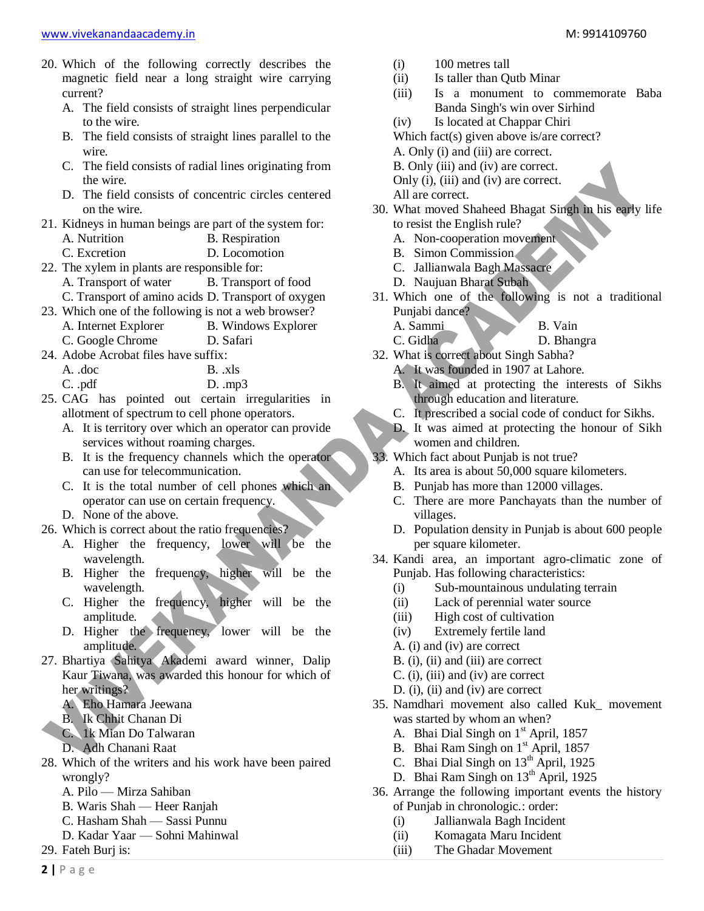- 20. Which of the following correctly describes the magnetic field near a long straight wire carrying current?
	- A. The field consists of straight lines perpendicular to the wire.
	- B. The field consists of straight lines parallel to the wire.
	- C. The field consists of radial lines originating from the wire.
	- D. The field consists of concentric circles centered on the wire.
- 21. Kidneys in human beings are part of the system for:
	- A. Nutrition B. Respiration C. Excretion D. Locomotion
- 22. The xylem in plants are responsible for:
	- A. Transport of water B. Transport of food
	- C. Transport of amino acids D. Transport of oxygen
- 23. Which one of the following is not a web browser?
	- A. Internet Explorer B. Windows Explorer
		- C. Google Chrome D. Safari
- 24. Adobe Acrobat files have suffix:

| $A.$ $doc$ | B. xls |
|------------|--------|
|------------|--------|

C. .pdf D. .mp3

- 25. CAG has pointed out certain irregularities in allotment of spectrum to cell phone operators.
	- A. It is territory over which an operator can provide services without roaming charges.
	- B. It is the frequency channels which the operator can use for telecommunication.
	- C. It is the total number of cell phones which an operator can use on certain frequency.
	- D. None of the above.
- 26. Which is correct about the ratio frequencies?
	- A. Higher the frequency, lower will be the wavelength.
	- B. Higher the frequency, higher will be the wavelength.
	- C. Higher the frequency, higher will be the amplitude.
	- D. Higher the frequency, lower will be the amplitude.
- 27. Bhartiya Sahitya Akademi award winner, Dalip Kaur Tiwana, was awarded this honour for which of her writings?
	- A. Eho Hamara Jeewana
	- B. Ik Chhit Chanan Di
	- C. 1k Mian Do Talwaran
	- D. Adh Chanani Raat
- 28. Which of the writers and his work have been paired wrongly?
	- A. Pilo Mirza Sahiban
	- B. Waris Shah Heer Ranjah
	- C. Hasham Shah Sassi Punnu
	- D. Kadar Yaar Sohni Mahinwal
- 29. Fateh Burj is:
- (i) 100 metres tall
- (ii) Is taller than Qutb Minar
- (iii) Is a monument to commemorate Baba Banda Singh's win over Sirhind
- (iv) Is located at Chappar Chiri

Which fact(s) given above is/are correct?

- A. Only (i) and (iii) are correct.
- B. Only (iii) and (iv) are correct.
- Only (i), (iii) and (iv) are correct.
- All are correct.
- 30. What moved Shaheed Bhagat Singh in his early life to resist the English rule?
	- A. Non-cooperation movement
	- B. Simon Commission
	- C. Jallianwala Bagh Massacre
	- D. Naujuan Bharat Subah
- 31. Which one of the following is not a traditional Punjabi dance? A. Sammi B. Vain
	- C. Gidha D. Bhangra
- 32. What is correct about Singh Sabha? A. It was founded in 1907 at Lahore.
	- B. It aimed at protecting the interests of Sikhs through education and literature.
	- C. It prescribed a social code of conduct for Sikhs.
	- D. It was aimed at protecting the honour of Sikh women and children.
- 33. Which fact about Punjab is not true?
	- A. Its area is about 50,000 square kilometers.
	- B. Punjab has more than 12000 villages.
	- C. There are more Panchayats than the number of villages.
	- D. Population density in Punjab is about 600 people per square kilometer.
- 34. Kandi area, an important agro-climatic zone of Punjab. Has following characteristics:
	- (i) Sub-mountainous undulating terrain
	- (ii) Lack of perennial water source
	- (iii) High cost of cultivation
	- (iv) Extremely fertile land
	- A. (i) and (iv) are correct
	- B. (i), (ii) and (iii) are correct
	- C. (i), (iii) and (iv) are correct
	- D. (i), (ii) and (iv) are correct
- 35. Namdhari movement also called Kuk\_ movement was started by whom an when?
	- A. Bhai Dial Singh on 1<sup>st</sup> April, 1857
	- B. Bhai Ram Singh on  $1<sup>st</sup>$  April, 1857
	- C. Bhai Dial Singh on  $13<sup>th</sup>$  April, 1925
	- D. Bhai Ram Singh on 13<sup>th</sup> April, 1925
- 36. Arrange the following important events the history of Punjab in chronologic.: order:
	- (i) Jallianwala Bagh Incident
	- (ii) Komagata Maru Incident
	- (iii) The Ghadar Movement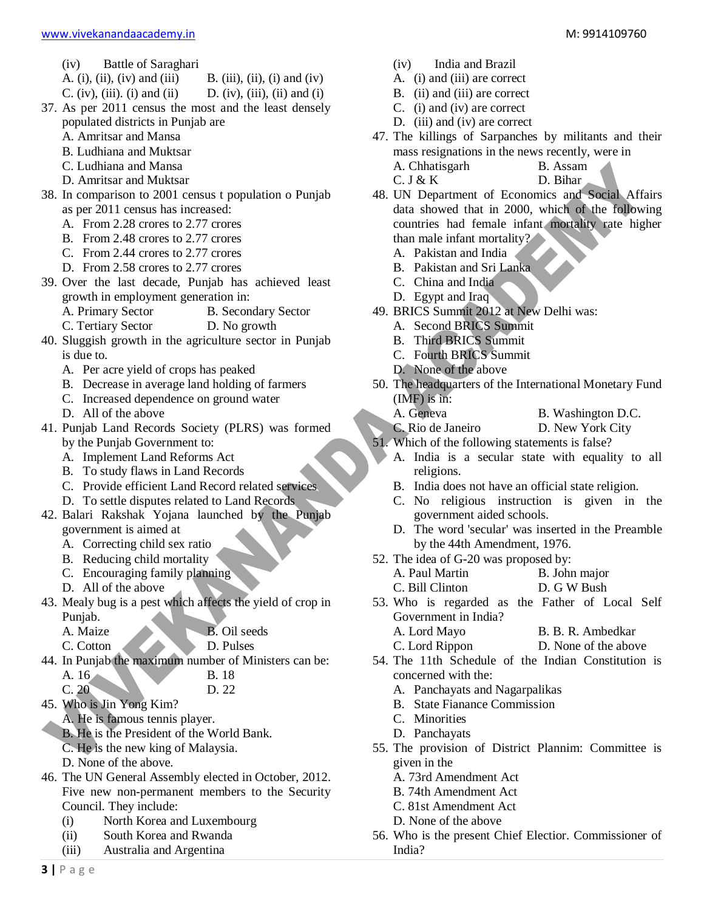- (iv) Battle of Saraghari
- A. (i), (ii), (iv) and (iii) B. (iii), (ii), (i) and (iv)
- C. (iv), (iii). (i) and (ii) D. (iv), (iii), (ii) and (i)
- 37. As per 2011 census the most and the least densely populated districts in Punjab are
	- A. Amritsar and Mansa
	- B. Ludhiana and Muktsar
	- C. Ludhiana and Mansa
	- D. Amritsar and Muktsar
- 38. In comparison to 2001 census t population o Punjab as per 2011 census has increased:
	- A. From 2.28 crores to 2.77 crores
	- B. From 2.48 crores to 2.77 crores
	- C. From 2.44 crores to 2.77 crores
	- D. From 2.58 crores to 2.77 crores
- 39. Over the last decade, Punjab has achieved least growth in employment generation in:
	- A. Primary Sector B. Secondary Sector
	- C. Tertiary Sector D. No growth
- 40. Sluggish growth in the agriculture sector in Punjab is due to.
	- A. Per acre yield of crops has peaked
	- B. Decrease in average land holding of farmers
	- C. Increased dependence on ground water
	- D. All of the above
- 41. Punjab Land Records Society (PLRS) was formed by the Punjab Government to:
	- A. Implement Land Reforms Act
	- B. To study flaws in Land Records
	- C. Provide efficient Land Record related services
	- D. To settle disputes related to Land Records
- 42. Balari Rakshak Yojana launched by the Punjab government is aimed at
	- A. Correcting child sex ratio
	- B. Reducing child mortality
	- C. Encouraging family planning
	- D. All of the above
- 43. Mealy bug is a pest which affects the yield of crop in Punjab.
	-

A. Maize **B.** Oil seeds

C. Cotton D. Pulses

- 44. In Punjab the maximum number of Ministers can be: A. 16 B. 18
	- C. 20 D. 22
- 45. Who is Jin Yong Kim?
	- A. He is famous tennis player.
	- B. He is the President of the World Bank.
	- C. He is the new king of Malaysia.
	- D. None of the above.
- 46. The UN General Assembly elected in October, 2012. Five new non-permanent members to the Security Council. They include:
	- (i) North Korea and Luxembourg
	- (ii) South Korea and Rwanda
	- (iii) Australia and Argentina
- (iv) India and Brazil
- A. (i) and (iii) are correct
- B. (ii) and (iii) are correct
- C. (i) and (iv) are correct
- D. (iii) and (iv) are correct
- 47. The killings of Sarpanches by militants and their mass resignations in the news recently, were in A. Chhatisgarh B. Assam

 $C. J & K$  D. Bihar

- 48. UN Department of Economics and Social Affairs data showed that in 2000, which of the following countries had female infant mortality rate higher than male infant mortality?
	- A. Pakistan and India
	- B. Pakistan and Sri Lanka
	- C. China and India
	- D. Egypt and Iraq
- 49. BRICS Summit 2012 at New Delhi was:
	- A. Second BRICS Summit
	- B. Third BRICS Summit
	- C. Fourth BRICS Summit
	- D. None of the above
- 50. The headquarters of the International Monetary Fund (IMF) is in:
	- A. Geneva B. Washington D.C.
	- C. Rio de Janeiro D. New York City
- 51. Which of the following statements is false?
	- A. India is a secular state with equality to all religions.
	- B. India does not have an official state religion.
	- C. No religious instruction is given in the government aided schools.
	- D. The word 'secular' was inserted in the Preamble by the 44th Amendment, 1976.
- 52. The idea of G-20 was proposed by:
	- A. Paul Martin B. John major
	- C. Bill Clinton D. G W Bush
- 53. Who is regarded as the Father of Local Self Government in India? A. Lord Mayo B. B. R. Ambedkar
	- C. Lord Rippon D. None of the above
- 54. The 11th Schedule of the Indian Constitution is concerned with the:
	- A. Panchayats and Nagarpalikas
	- B. State Fianance Commission
	- C. Minorities
	- D. Panchayats
- 55. The provision of District Plannim: Committee is given in the
	- A. 73rd Amendment Act
	- B. 74th Amendment Act
	- C. 81st Amendment Act
	- D. None of the above
- 56. Who is the present Chief Electior. Commissioner of India?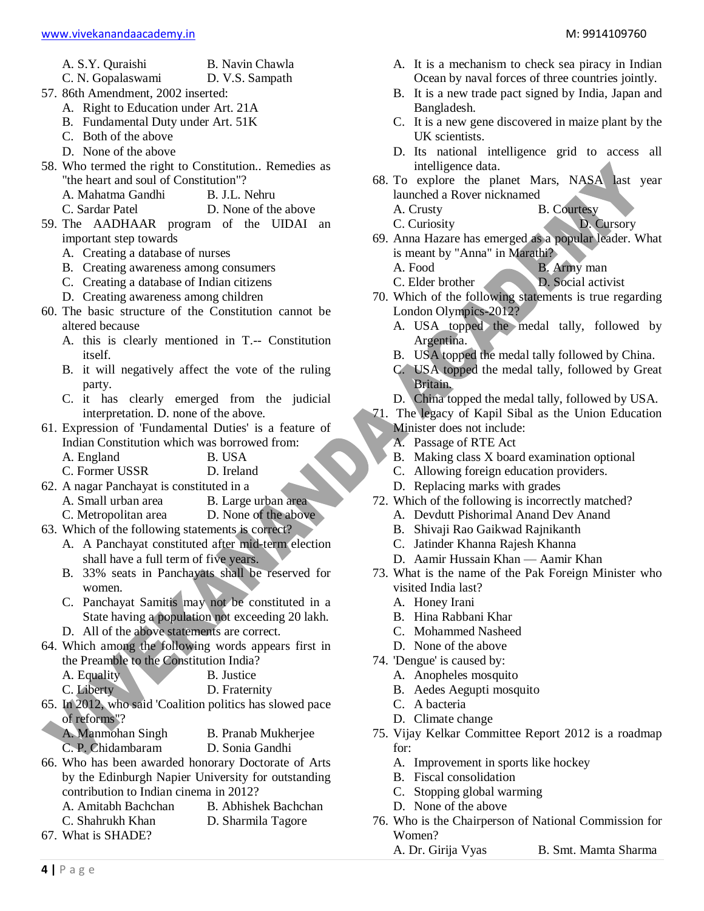- A. S.Y. Quraishi B. Navin Chawla
- C. N. Gopalaswami D. V.S. Sampath
- 57. 86th Amendment, 2002 inserted:
	- A. Right to Education under Art. 21A
		- B. Fundamental Duty under Art. 51K
		- C. Both of the above
		- D. None of the above
- 58. Who termed the right to Constitution.. Remedies as "the heart and soul of Constitution"?
	- A. Mahatma Gandhi B. J.L. Nehru
	- C. Sardar Patel D. None of the above
- 59. The AADHAAR program of the UIDAI an important step towards
	- A. Creating a database of nurses
	- B. Creating awareness among consumers
	- C. Creating a database of Indian citizens
	- D. Creating awareness among children
- 60. The basic structure of the Constitution cannot be altered because
	- A. this is clearly mentioned in T.-- Constitution itself.
	- B. it will negatively affect the vote of the ruling party.
	- C. it has clearly emerged from the judicial interpretation. D. none of the above.
- 61. Expression of 'Fundamental Duties' is a feature of Indian Constitution which was borrowed from:
	- A. England B. USA
	- C. Former USSR D. Ireland
- 62. A nagar Panchayat is constituted in a
	- B. Large urban area C. Metropolitan area D. None of the above
- 63. Which of the following statements is correct?
	- A. A Panchayat constituted after mid-term election shall have a full term of five years.
	- B. 33% seats in Panchayats shall be reserved for women.
	- C. Panchayat Samitis may not be constituted in a State having a population not exceeding 20 lakh.
	- D. All of the above statements are correct.
- 64. Which among the following words appears first in the Preamble to the Constitution India?

|  | A. Equality |  |  |  | B. Justice |
|--|-------------|--|--|--|------------|
|--|-------------|--|--|--|------------|

- C. Liberty D. Fraternity
- 65. In 2012, who said 'Coalition politics has slowed pace of reforms"?
	- A. Manmohan Singh B. Pranab Mukherjee
		-
- C. P. Chidambaram D. Sonia Gandhi 66. Who has been awarded honorary Doctorate of Arts
- by the Edinburgh Napier University for outstanding contribution to Indian cinema in 2012?
	- A. Amitabh Bachchan B. Abhishek Bachchan
	- C. Shahrukh Khan D. Sharmila Tagore
- 67. What is SHADE?
- A. It is a mechanism to check sea piracy in Indian Ocean by naval forces of three countries jointly.
- B. It is a new trade pact signed by India, Japan and Bangladesh.
- C. It is a new gene discovered in maize plant by the UK scientists.
- D. Its national intelligence grid to access all intelligence data.
- 68. To explore the planet Mars, NASA last year launched a Rover nicknamed
	- A. Crusty B. Courtesy
	- C. Curiosity D. Cursory
- 69. Anna Hazare has emerged as a popular leader. What is meant by "Anna" in Marathi?
	- A. Food B. Army man
	- C. Elder brother D. Social activist
- 70. Which of the following statements is true regarding London Olympics-2012?
	- A. USA topped the medal tally, followed by Argentina.
	- B. USA topped the medal tally followed by China.
	- C. USA topped the medal tally, followed by Great Britain.
	- D. China topped the medal tally, followed by USA.
- 71. The legacy of Kapil Sibal as the Union Education
	- Minister does not include: A. Passage of RTE Act
	-
	- B. Making class X board examination optional
	- C. Allowing foreign education providers.
	- D. Replacing marks with grades
- 72. Which of the following is incorrectly matched?
	- A. Devdutt Pishorimal Anand Dev Anand
	- B. Shivaji Rao Gaikwad Rajnikanth
	- C. Jatinder Khanna Rajesh Khanna
	- D. Aamir Hussain Khan Aamir Khan
- 73. What is the name of the Pak Foreign Minister who visited India last?
	- A. Honey Irani
	- B. Hina Rabbani Khar
	- C. Mohammed Nasheed
	- D. None of the above
- 74. 'Dengue' is caused by:
	- A. Anopheles mosquito
	- B. Aedes Aegupti mosquito
	- C. A bacteria
	- D. Climate change
- 75. Vijay Kelkar Committee Report 2012 is a roadmap for:
	- A. Improvement in sports like hockey
	- B. Fiscal consolidation
	- C. Stopping global warming
	- D. None of the above
- 76. Who is the Chairperson of National Commission for Women?

A. Dr. Girija Vyas B. Smt. Mamta Sharma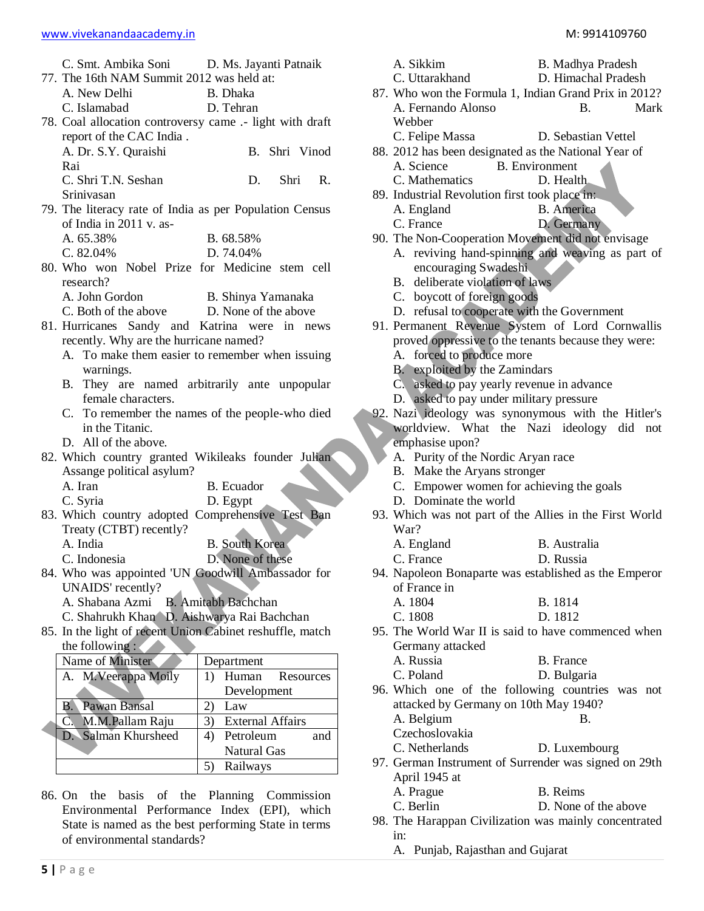|  | M: 9914109760 |  |  |  |
|--|---------------|--|--|--|
|--|---------------|--|--|--|

|                                                           | C. Smt. Ambika Soni D. Ms. Jayanti Patnaik         |
|-----------------------------------------------------------|----------------------------------------------------|
| 77. The 16th NAM Summit 2012 was held at:                 |                                                    |
| A. New Delhi                                              | B. Dhaka                                           |
| C. Islamabad                                              | D. Tehran                                          |
| 78. Coal allocation controversy came .- light with draft  |                                                    |
| report of the CAC India.                                  |                                                    |
| A. Dr. S.Y. Quraishi                                      | B. Shri Vinod                                      |
| Rai                                                       |                                                    |
| C. Shri T.N. Seshan                                       | D.<br>Shri<br>R.                                   |
| Srinivasan                                                |                                                    |
| 79. The literacy rate of India as per Population Census   |                                                    |
| of India in 2011 v. as-                                   |                                                    |
|                                                           |                                                    |
| A. 65.38%                                                 | B. 68.58%                                          |
| $C. 82.04\%$                                              | D. 74.04%                                          |
| 80. Who won Nobel Prize for Medicine stem cell            |                                                    |
| research?                                                 |                                                    |
| A. John Gordon                                            | B. Shinya Yamanaka                                 |
| C. Both of the above D. None of the above                 |                                                    |
| 81. Hurricanes Sandy and Katrina were in news             |                                                    |
| recently. Why are the hurricane named?                    |                                                    |
|                                                           | A. To make them easier to remember when issuing    |
| warnings.                                                 |                                                    |
| В.                                                        | They are named arbitrarily ante unpopular          |
| female characters.                                        |                                                    |
|                                                           | C. To remember the names of the people-who died    |
| in the Titanic.                                           |                                                    |
| D. All of the above.                                      |                                                    |
|                                                           | 82. Which country granted Wikileaks founder Julian |
| Assange political asylum?                                 |                                                    |
| A. Iran                                                   | B. Ecuador                                         |
| C. Syria                                                  | D. Egypt                                           |
|                                                           | 83. Which country adopted Comprehensive Test Ban   |
| Treaty (CTBT) recently?                                   |                                                    |
| A. India                                                  | <b>B.</b> South Korea                              |
| C. Indonesia                                              | D. None of these                                   |
| 84. Who was appointed 'UN Goodwill Ambassador for         |                                                    |
| UNAIDS' recently?                                         |                                                    |
| A. Shabana Azmi                                           | <b>B.</b> Amitabh Bachchan                         |
| C. Shahrukh Khan <sup>^</sup> D. Aishwarya Rai Bachchan   |                                                    |
|                                                           |                                                    |
| 85. In the light of recent Union Cabinet reshuffle, match |                                                    |
| the following :                                           |                                                    |
| Name of Minister                                          | Department                                         |
| A. M. Veerappa Moily                                      | Resources<br>Human<br>1)                           |
|                                                           | Development                                        |
| Pawan Bansal<br>В.                                        | 2)<br>Law                                          |
| M.M.Pallam Raju<br>C.                                     | 3)<br><b>External Affairs</b>                      |
| Salman Khursheed<br>D.                                    | Petroleum<br>4)<br>and                             |

86. On the basis of the Planning Commission Environmental Performance Index (EPI), which State is named as the best performing State in terms of environmental standards?

Natural Gas

5) Railways

| A. Sikkim<br>B. Madhya Pradesh                 |                                                       |  |
|------------------------------------------------|-------------------------------------------------------|--|
| C. Uttarakhand                                 | D. Himachal Pradesh                                   |  |
|                                                | 87. Who won the Formula 1, Indian Grand Prix in 2012? |  |
| A. Fernando Alonso                             | Mark<br>В.                                            |  |
| Webber                                         |                                                       |  |
| C. Felipe Massa                                | D. Sebastian Vettel                                   |  |
|                                                | 88. 2012 has been designated as the National Year of  |  |
| A. Science                                     | <b>B.</b> Environment                                 |  |
| C. Mathematics                                 | D. Health                                             |  |
| 89. Industrial Revolution first took place in: |                                                       |  |
| A. England                                     | <b>B.</b> America                                     |  |
| C. France                                      | D. Germany                                            |  |
|                                                | 90. The Non-Cooperation Movement did not envisage     |  |
|                                                | A. reviving hand-spinning and weaving as part of      |  |
| encouraging Swadeshi                           |                                                       |  |

- B. deliberate violation of laws
- C. boycott of foreign goods
- D. refusal to cooperate with the Government
- 91. Permanent Revenue System of Lord Cornwallis proved oppressive to the tenants because they were: A. forced to produce more
	-
	- B. exploited by the Zamindars
	- C. asked to pay yearly revenue in advance
	- D. asked to pay under military pressure
- 92. Nazi ideology was synonymous with the Hitler's worldview. What the Nazi ideology did not emphasise upon?
	- A. Purity of the Nordic Aryan race
	- B. Make the Aryans stronger
	- C. Empower women for achieving the goals
	- D. Dominate the world
- 93. Which was not part of the Allies in the First World War?
	- A. England B. Australia
	- C. France D. Russia
- 94. Napoleon Bonaparte was established as the Emperor of France in
	- A. 1804 B. 1814
	- C. 1808 D. 1812
- 95. The World War II is said to have commenced when Germany attacked

| A. Russia | B. France   |
|-----------|-------------|
| C. Poland | D. Bulgaria |

- 96. Which one of the following countries was not attacked by Germany on 10th May 1940? A. Belgium B. Czechoslovakia
	- C. Netherlands D. Luxembourg
- 97. German Instrument of Surrender was signed on 29th April 1945 at A. Prague B. Reims
	- C. Berlin D. None of the above
- 98. The Harappan Civilization was mainly concentrated in:
	- A. Punjab, Rajasthan and Gujarat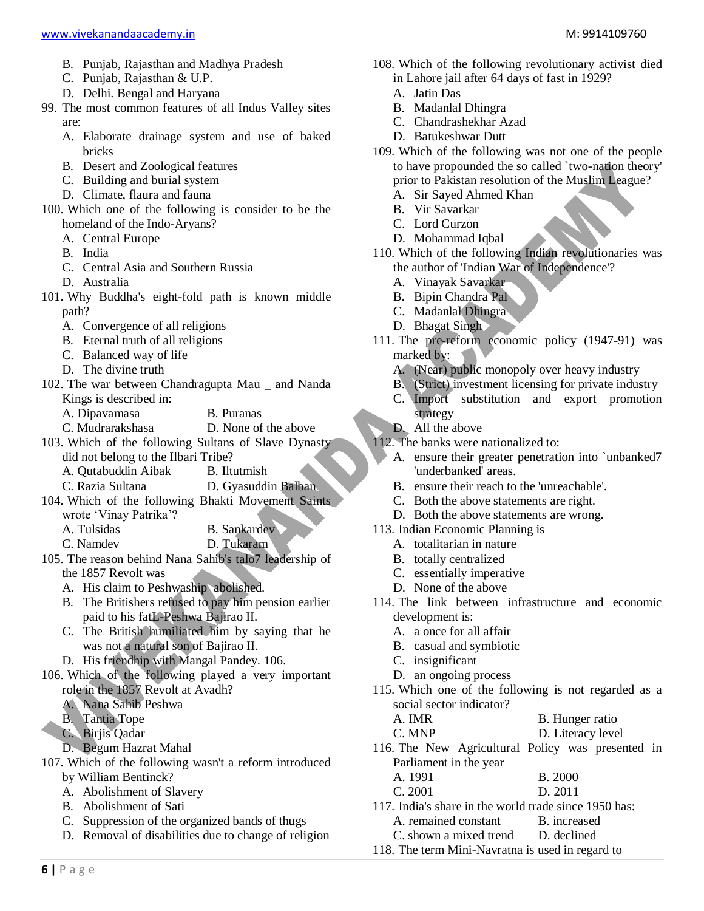- B. Punjab, Rajasthan and Madhya Pradesh
- C. Punjab, Rajasthan & U.P.
- D. Delhi. Bengal and Haryana
- 99. The most common features of all Indus Valley sites are:
	- A. Elaborate drainage system and use of baked bricks
	- B. Desert and Zoological features
	- C. Building and burial system
	- D. Climate, flaura and fauna
- 100. Which one of the following is consider to be the homeland of the Indo-Aryans?
	- A. Central Europe
	- B. India
	- C. Central Asia and Southern Russia
	- D. Australia
- 101. Why Buddha's eight-fold path is known middle path?
	- A. Convergence of all religions
	- B. Eternal truth of all religions
	- C. Balanced way of life
	- D. The divine truth
- 102. The war between Chandragupta Mau \_ and Nanda Kings is described in:
	- A. Dipavamasa B. Puranas
	- C. Mudrarakshasa D. None of the above
- 103. Which of the following Sultans of Slave Dynasty did not belong to the Ilbari Tribe?
	- A. Qutabuddin Aibak B. Iltutmish
	- C. Razia Sultana D. Gyasuddin Balban
- 104. Which of the following Bhakti Movement Saints wrote 'Vinay Patrika'?
	- A. Tulsidas B. Sankardev
	- C. Namdev D. Tukaram
- 105. The reason behind Nana Sahib's talo7 leadership of the 1857 Revolt was
	- A. His claim to Peshwaship abolished.
	- B. The Britishers refused to pay him pension earlier paid to his fatL-Peshwa Bajirao II.
	- C. The British humiliated him by saying that he was not a natural son of Bajirao II.
	- D. His friendhip with Mangal Pandey. 106.
- 106. Which of the following played a very important role in the 1857 Revolt at Avadh?
	- A. Nana Sahib Peshwa
	- B. Tantia Tope
	- C. Birjis Qadar
	- D. Begum Hazrat Mahal
- 107. Which of the following wasn't a reform introduced by William Bentinck?
	- A. Abolishment of Slavery
	- B. Abolishment of Sati
	- C. Suppression of the organized bands of thugs
	- D. Removal of disabilities due to change of religion
- 108. Which of the following revolutionary activist died in Lahore jail after 64 days of fast in 1929?
	- A. Jatin Das
	- B. Madanlal Dhingra
	- C. Chandrashekhar Azad
	- D. Batukeshwar Dutt
- 109. Which of the following was not one of the people to have propounded the so called `two-nation theory' prior to Pakistan resolution of the Muslim League?
	- A. Sir Sayed Ahmed Khan
	- B. Vir Savarkar
	- C. Lord Curzon
	- D. Mohammad Iqbal
- 110. Which of the following Indian revolutionaries was the author of 'Indian War of Independence'?
	- A. Vinayak Savarkar
	- B. Bipin Chandra Pal
	- C. Madanlal Dhingra
	- D. Bhagat Singh
- 111. The pre-reform economic policy (1947-91) was marked by:
	- A. (Near) public monopoly over heavy industry
	- B. (Strict) investment licensing for private industry
	- C. Import substitution and export promotion strategy
	- D. All the above
- 112. The banks were nationalized to:
	- A. ensure their greater penetration into `unbanked7 'underbanked' areas.
	- B. ensure their reach to the 'unreachable'.
	- C. Both the above statements are right.
	- D. Both the above statements are wrong.
- 113. Indian Economic Planning is
	- A. totalitarian in nature
	- B. totally centralized
	- C. essentially imperative
	- D. None of the above
- 114. The link between infrastructure and economic development is:
	- A. a once for all affair
	- B. casual and symbiotic
	- C. insignificant
	- D. an ongoing process
- 115. Which one of the following is not regarded as a social sector indicator?
	- A. IMR B. Hunger ratio
	- C. MNP D. Literacy level

116. The New Agricultural Policy was presented in Parliament in the year

- A. 1991 B. 2000
- C. 2001 D. 2011
- 117. India's share in the world trade since 1950 has:
	- A. remained constant B. increased
	- C. shown a mixed trend D. declined
- 118. The term Mini-Navratna is used in regard to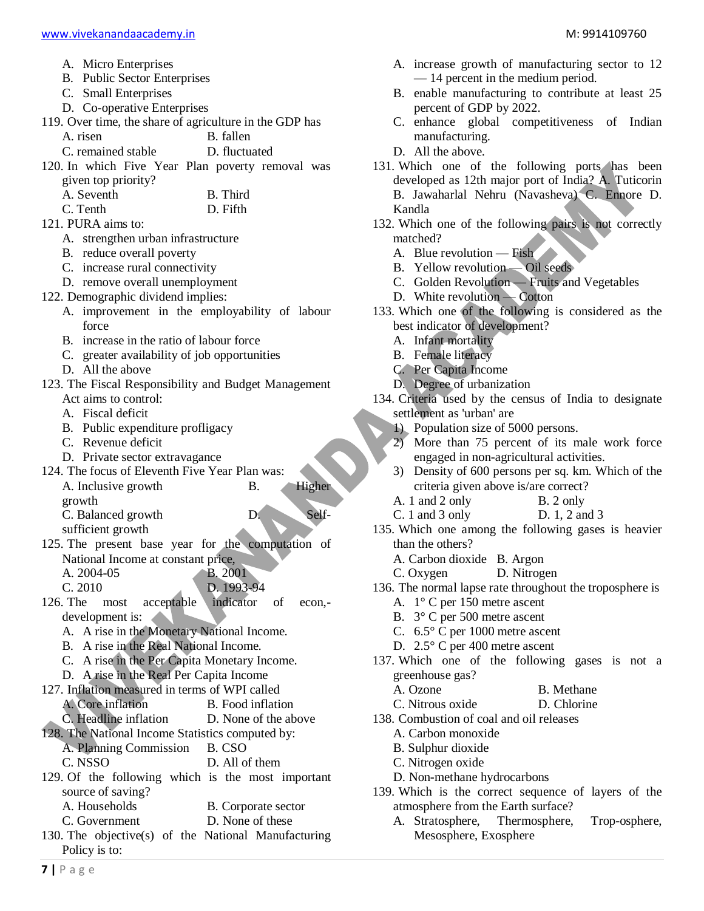- A. Micro Enterprises
- B. Public Sector Enterprises
- C. Small Enterprises
- D. Co-operative Enterprises
- 119. Over time, the share of agriculture in the GDP has

A. risen B. fallen

C. remained stable D. fluctuated

- 120. In which Five Year Plan poverty removal was given top priority?
	- A. Seventh B. Third
	- C. Tenth D. Fifth
- 121. PURA aims to:
	- A. strengthen urban infrastructure
	- B. reduce overall poverty
	- C. increase rural connectivity
- D. remove overall unemployment
- 122. Demographic dividend implies:
	- A. improvement in the employability of labour force
	- B. increase in the ratio of labour force
	- C. greater availability of job opportunities
	- D. All the above
- 123. The Fiscal Responsibility and Budget Management Act aims to control:
	- A. Fiscal deficit
	- B. Public expenditure profligacy
	- C. Revenue deficit
	- D. Private sector extravagance
- 124. The focus of Eleventh Five Year Plan was: A. Inclusive growth B. Higher growth
	- C. Balanced growth D. Self-
	- sufficient growth
- 125. The present base year for the computation of National Income at constant price, A. 2004-05 B. 2001
	-
- C. 2010<br>The most acceptable indicator 126. The most acceptable indicator of econ, development is:
	- A. A rise in the Monetary National Income.
	- B. A rise in the Real National Income.
	- C. A rise in the Per Capita Monetary Income.
	- D. A rise in the Real Per Capita Income
- 127. Inflation measured in terms of WPI called A. Core inflation B. Food inflation C. Headline inflation D. None of the above 128. The National Income Statistics computed by: A. Planning Commission B. CSO C. NSSO D. All of them
- 129. Of the following which is the most important source of saving? A. Households B. Corporate sector
	- C. Government D. None of these
- 130. The objective(s) of the National Manufacturing
- Policy is to:
- A. increase growth of manufacturing sector to 12 — 14 percent in the medium period.
- B. enable manufacturing to contribute at least 25 percent of GDP by 2022.
- C. enhance global competitiveness of Indian manufacturing.
- D. All the above.
- 131. Which one of the following ports has been developed as 12th major port of India? A. Tuticorin B. Jawaharlal Nehru (Navasheva) C. Ennore D. Kandla
- 132. Which one of the following pairs is not correctly matched?
	- A. Blue revolution Fish
	- B. Yellow revolution Oil seeds
	- C. Golden Revolution Fruits and Vegetables
	- D. White revolution Cotton
- 133. Which one of the following is considered as the best indicator of development?
	- A. Infant mortality
	- B. Female literacy
	- C. Per Capita Income
	- D. Degree of urbanization
- 134. Criteria used by the census of India to designate settlement as 'urban' are
	- 1) Population size of 5000 persons.
	- 2) More than 75 percent of its male work force engaged in non-agricultural activities.
	- 3) Density of 600 persons per sq. km. Which of the criteria given above is/are correct?
	- A. 1 and 2 only B. 2 only
	- C. 1 and 3 only D. 1, 2 and 3
- 135. Which one among the following gases is heavier than the others?
	- A. Carbon dioxide B. Argon
	- C. Oxygen D. Nitrogen
- 136. The normal lapse rate throughout the troposphere is
	- A. 1° C per 150 metre ascent
	- B. 3° C per 500 metre ascent
	- C. 6.5° C per 1000 metre ascent
	- D. 2.5° C per 400 metre ascent
- 137. Which one of the following gases is not a greenhouse gas?
	- A. Ozone B. Methane
	- C. Nitrous oxide D. Chlorine
- 138. Combustion of coal and oil releases
	- A. Carbon monoxide
	- B. Sulphur dioxide
	- C. Nitrogen oxide
	- D. Non-methane hydrocarbons
- 139. Which is the correct sequence of layers of the atmosphere from the Earth surface?
	- A. Stratosphere, Thermosphere, Trop-osphere, Mesosphere, Exosphere